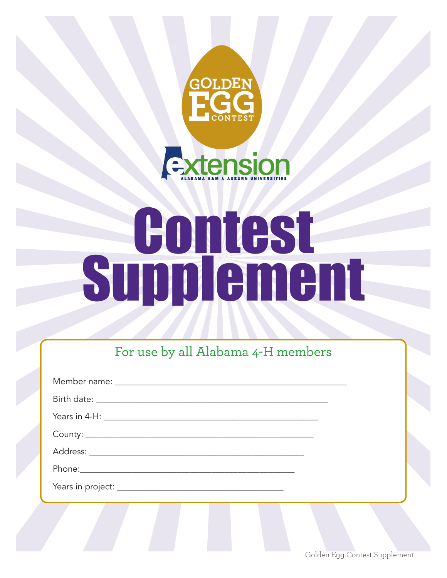



# **Supplement**

For use by all Alabama 4-H members

Golden Egg Contest Supplement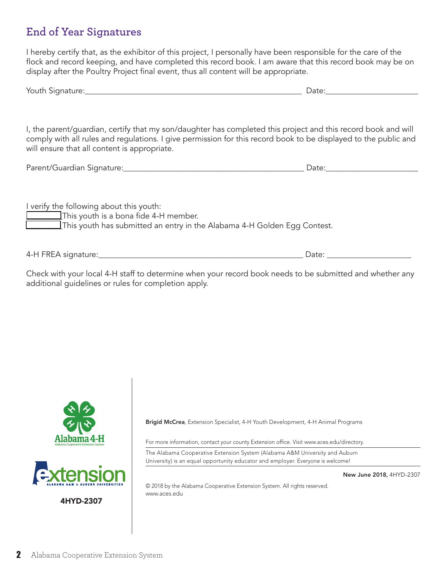### **End of Year Signatures**

I hereby certify that, as the exhibitor of this project, I personally have been responsible for the care of the flock and record keeping, and have completed this record book. I am aware that this record book may be on display after the Poultry Project final event, thus all content will be appropriate.

| Youth Signature: | Dale |
|------------------|------|
|------------------|------|

I, the parent/guardian, certify that my son/daughter has completed this project and this record book and will comply with all rules and regulations. I give permission for this record book to be displayed to the public and will ensure that all content is appropriate.

| Parent/Guardian Signature: |  |
|----------------------------|--|
|                            |  |

I verify the following about this youth: \_\_\_\_\_\_\_\_\_This youth is a bona fide 4-H member. \_\_\_\_\_\_\_\_\_This youth has submitted an entry in the Alabama 4-H Golden Egg Contest.

4-H FREA signature:\_\_\_\_\_\_\_\_\_\_\_\_\_\_\_\_\_\_\_\_\_\_\_\_\_\_\_\_\_\_\_\_\_\_\_\_\_\_\_\_\_\_\_\_\_\_\_\_\_\_\_ Date: \_\_\_\_\_\_\_\_\_\_\_\_\_\_\_\_\_\_\_\_\_

Check with your local 4-H staff to determine when your record book needs to be submitted and whether any additional guidelines or rules for completion apply.





4HYD-2307

Brigid McCrea, Extension Specialist, 4-H Youth Development, 4-H Animal Programs

For more information, contact your county Extension office. Visit www.aces.edu/directory.

The Alabama Cooperative Extension System (Alabama A&M University and Auburn University) is an equal opportunity educator and employer. Everyone is welcome!

New June 2018, 4HYD-2307

© 2018 by the Alabama Cooperative Extension System. All rights reserved. www.aces.edu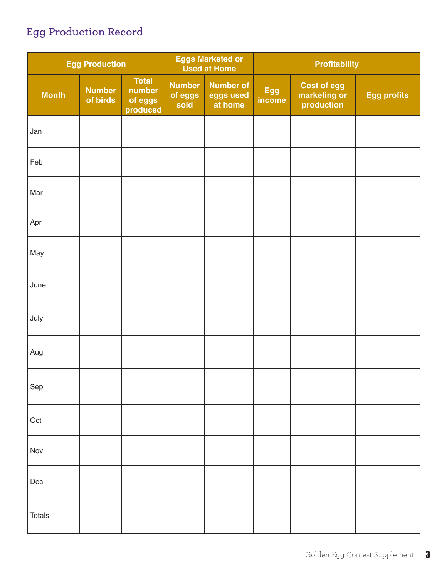# **Egg Production Record**

| <b>Egg Production</b> |                           | <b>Eggs Marketed or</b><br><b>Used at Home</b> |                                  | <b>Profitability</b>                     |               |                                                  |                    |
|-----------------------|---------------------------|------------------------------------------------|----------------------------------|------------------------------------------|---------------|--------------------------------------------------|--------------------|
| <b>Month</b>          | <b>Number</b><br>of birds | <b>Total</b><br>number<br>of eggs<br>produced  | <b>Number</b><br>of eggs<br>sold | <b>Number of</b><br>eggs used<br>at home | Egg<br>income | <b>Cost of egg</b><br>marketing or<br>production | <b>Egg profits</b> |
| Jan                   |                           |                                                |                                  |                                          |               |                                                  |                    |
| Feb                   |                           |                                                |                                  |                                          |               |                                                  |                    |
| Mar                   |                           |                                                |                                  |                                          |               |                                                  |                    |
| Apr                   |                           |                                                |                                  |                                          |               |                                                  |                    |
| May                   |                           |                                                |                                  |                                          |               |                                                  |                    |
| June                  |                           |                                                |                                  |                                          |               |                                                  |                    |
| July                  |                           |                                                |                                  |                                          |               |                                                  |                    |
| Aug                   |                           |                                                |                                  |                                          |               |                                                  |                    |
| Sep                   |                           |                                                |                                  |                                          |               |                                                  |                    |
| Oct                   |                           |                                                |                                  |                                          |               |                                                  |                    |
| Nov                   |                           |                                                |                                  |                                          |               |                                                  |                    |
| Dec                   |                           |                                                |                                  |                                          |               |                                                  |                    |
| <b>Totals</b>         |                           |                                                |                                  |                                          |               |                                                  |                    |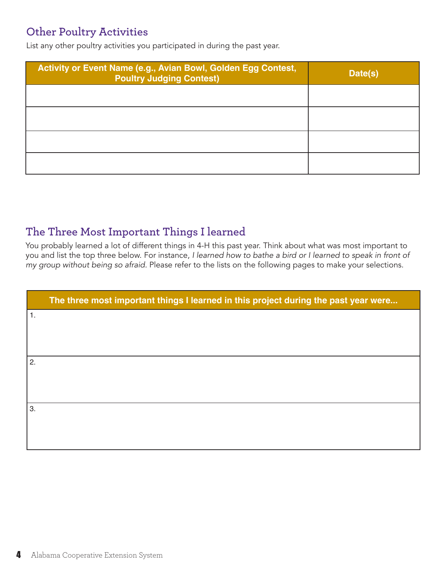### **Other Poultry Activities**

List any other poultry activities you participated in during the past year.

| Activity or Event Name (e.g., Avian Bowl, Golden Egg Contest,<br><b>Poultry Judging Contest)</b> | Date(s) |
|--------------------------------------------------------------------------------------------------|---------|
|                                                                                                  |         |
|                                                                                                  |         |
|                                                                                                  |         |
|                                                                                                  |         |

### **The Three Most Important Things I learned**

You probably learned a lot of different things in 4-H this past year. Think about what was most important to you and list the top three below. For instance, *I learned how to bathe a bird or I learned to speak in front of my group without being so afraid.* Please refer to the lists on the following pages to make your selections.

|    | The three most important things I learned in this project during the past year were |
|----|-------------------------------------------------------------------------------------|
| 1. |                                                                                     |
|    |                                                                                     |
| 2. |                                                                                     |
|    |                                                                                     |
| 3. |                                                                                     |
|    |                                                                                     |
|    |                                                                                     |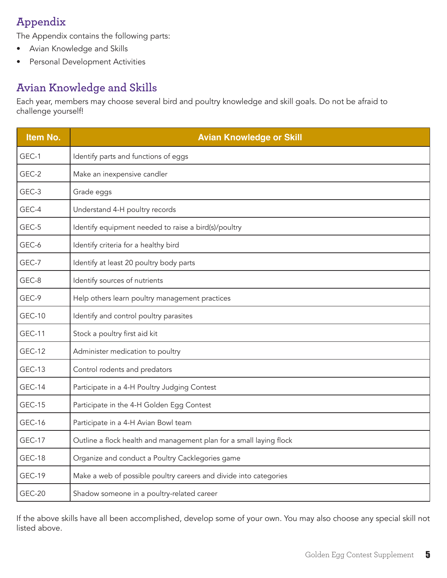## **Appendix**

The Appendix contains the following parts:

- Avian Knowledge and Skills
- Personal Development Activities

### **Avian Knowledge and Skills**

Each year, members may choose several bird and poultry knowledge and skill goals. Do not be afraid to challenge yourself!

| Item No.      | <b>Avian Knowledge or Skill</b>                                     |  |  |
|---------------|---------------------------------------------------------------------|--|--|
| GEC-1         | Identify parts and functions of eggs                                |  |  |
| GEC-2         | Make an inexpensive candler                                         |  |  |
| GEC-3         | Grade eggs                                                          |  |  |
| GEC-4         | Understand 4-H poultry records                                      |  |  |
| GEC-5         | Identify equipment needed to raise a bird(s)/poultry                |  |  |
| GEC-6         | Identify criteria for a healthy bird                                |  |  |
| GEC-7         | Identify at least 20 poultry body parts                             |  |  |
| GEC-8         | Identify sources of nutrients                                       |  |  |
| GEC-9         | Help others learn poultry management practices                      |  |  |
| <b>GEC-10</b> | Identify and control poultry parasites                              |  |  |
| <b>GEC-11</b> | Stock a poultry first aid kit                                       |  |  |
| <b>GEC-12</b> | Administer medication to poultry                                    |  |  |
| <b>GEC-13</b> | Control rodents and predators                                       |  |  |
| <b>GEC-14</b> | Participate in a 4-H Poultry Judging Contest                        |  |  |
| <b>GEC-15</b> | Participate in the 4-H Golden Egg Contest                           |  |  |
| <b>GEC-16</b> | Participate in a 4-H Avian Bowl team                                |  |  |
| <b>GEC-17</b> | Outline a flock health and management plan for a small laying flock |  |  |
| <b>GEC-18</b> | Organize and conduct a Poultry Cacklegories game                    |  |  |
| <b>GEC-19</b> | Make a web of possible poultry careers and divide into categories   |  |  |
| <b>GEC-20</b> | Shadow someone in a poultry-related career                          |  |  |

If the above skills have all been accomplished, develop some of your own. You may also choose any special skill not listed above.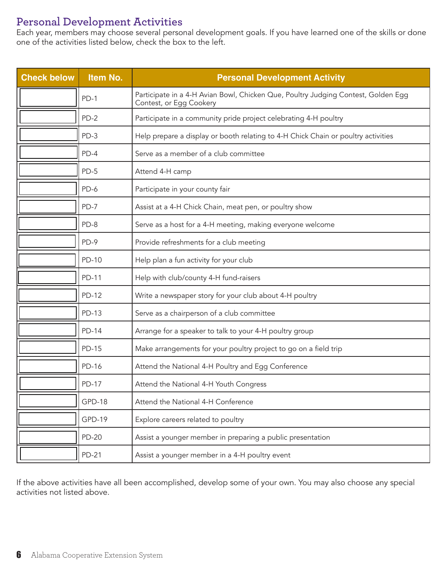### **Personal Development Activities**

Each year, members may choose several personal development goals. If you have learned one of the skills or done one of the activities listed below, check the box to the left.

| <b>Check below</b> | Item No.      | <b>Personal Development Activity</b>                                                                         |  |
|--------------------|---------------|--------------------------------------------------------------------------------------------------------------|--|
|                    | $PD-1$        | Participate in a 4-H Avian Bowl, Chicken Que, Poultry Judging Contest, Golden Egg<br>Contest, or Egg Cookery |  |
|                    | $PD-2$        | Participate in a community pride project celebrating 4-H poultry                                             |  |
|                    | $PD-3$        | Help prepare a display or booth relating to 4-H Chick Chain or poultry activities                            |  |
|                    | $PD-4$        | Serve as a member of a club committee                                                                        |  |
|                    | $PD-5$        | Attend 4-H camp                                                                                              |  |
|                    | PD-6          | Participate in your county fair                                                                              |  |
|                    | $PD-7$        | Assist at a 4-H Chick Chain, meat pen, or poultry show                                                       |  |
|                    | $PD-8$        | Serve as a host for a 4-H meeting, making everyone welcome                                                   |  |
|                    | PD-9          | Provide refreshments for a club meeting                                                                      |  |
|                    | <b>PD-10</b>  | Help plan a fun activity for your club                                                                       |  |
|                    | PD-11         | Help with club/county 4-H fund-raisers                                                                       |  |
|                    | <b>PD-12</b>  | Write a newspaper story for your club about 4-H poultry                                                      |  |
|                    | <b>PD-13</b>  | Serve as a chairperson of a club committee                                                                   |  |
|                    | <b>PD-14</b>  | Arrange for a speaker to talk to your 4-H poultry group                                                      |  |
|                    | <b>PD-15</b>  | Make arrangements for your poultry project to go on a field trip                                             |  |
|                    | <b>PD-16</b>  | Attend the National 4-H Poultry and Egg Conference                                                           |  |
|                    | <b>PD-17</b>  | Attend the National 4-H Youth Congress                                                                       |  |
|                    | <b>GPD-18</b> | Attend the National 4-H Conference                                                                           |  |
|                    | <b>GPD-19</b> | Explore careers related to poultry                                                                           |  |
|                    | <b>PD-20</b>  | Assist a younger member in preparing a public presentation                                                   |  |
|                    | PD-21         | Assist a younger member in a 4-H poultry event                                                               |  |

If the above activities have all been accomplished, develop some of your own. You may also choose any special activities not listed above.